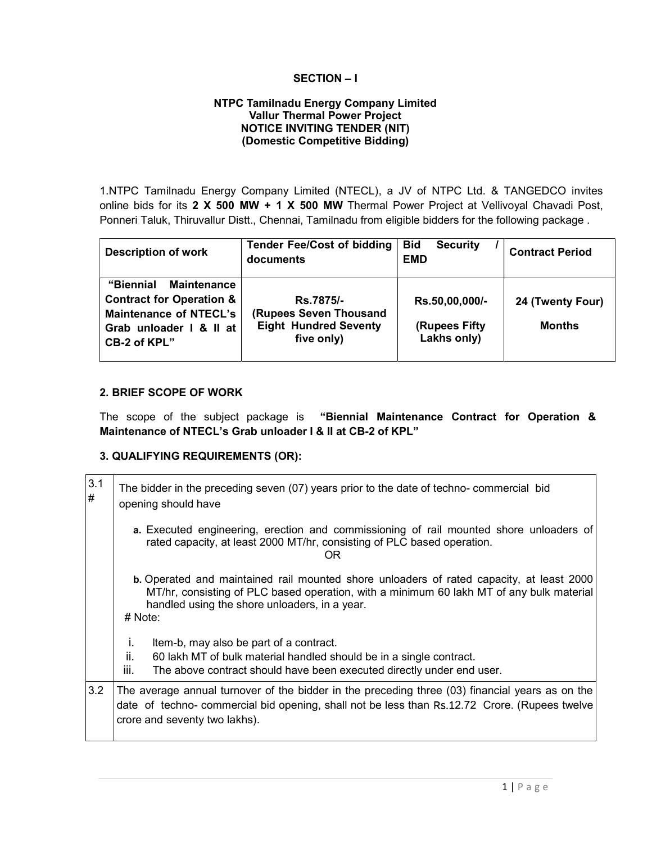# SECTION – I

#### NTPC Tamilnadu Energy Company Limited **Vallur Thermal Power Project** NOTICE INVITING TENDER (NIT) (Domestic Competitive Bidding)

1.NTPC Tamilnadu Energy Company Limited (NTECL), a JV of NTPC Ltd. & TANGEDCO invites online bids for its 2 X 500 MW + 1 X 500 MW Thermal Power Project at Vellivoyal Chavadi Post, Ponneri Taluk, Thiruvallur Distt., Chennai, Tamilnadu from eligible bidders for the following package .

| <b>Description of work</b>                                                                                                                         | <b>Tender Fee/Cost of bidding</b><br>documents                                    | <b>Bid</b><br><b>Security</b><br><b>EMD</b>     | <b>Contract Period</b>            |
|----------------------------------------------------------------------------------------------------------------------------------------------------|-----------------------------------------------------------------------------------|-------------------------------------------------|-----------------------------------|
| <b>Maintenance</b><br>"Biennial<br><b>Contract for Operation &amp;</b><br><b>Maintenance of NTECL's</b><br>Grab unloader I & II at<br>CB-2 of KPL" | Rs.7875/-<br>(Rupees Seven Thousand<br><b>Eight Hundred Seventy</b><br>five only) | Rs.50,00,000/-<br>(Rupees Fifty)<br>Lakhs only) | 24 (Twenty Four)<br><b>Months</b> |

#### 2. BRIEF SCOPE OF WORK

The scope of the subject package is "Biennial Maintenance Contract for Operation & Maintenance of NTECL's Grab unloader I & II at CB-2 of KPL"

# 3. QUALIFYING REQUIREMENTS (OR):

| $\begin{array}{c} 3.1 \\ \# \end{array}$ | The bidder in the preceding seven (07) years prior to the date of techno-commercial bid<br>opening should have                                                                                                                                   |  |  |
|------------------------------------------|--------------------------------------------------------------------------------------------------------------------------------------------------------------------------------------------------------------------------------------------------|--|--|
|                                          | a. Executed engineering, erection and commissioning of rail mounted shore unloaders of<br>rated capacity, at least 2000 MT/hr, consisting of PLC based operation.<br>ΟR                                                                          |  |  |
|                                          | b. Operated and maintained rail mounted shore unloaders of rated capacity, at least 2000<br>MT/hr, consisting of PLC based operation, with a minimum 60 lakh MT of any bulk material<br>handled using the shore unloaders, in a year.<br># Note: |  |  |
|                                          | Item-b, may also be part of a contract.<br>Ť.                                                                                                                                                                                                    |  |  |
|                                          | ii.<br>60 lakh MT of bulk material handled should be in a single contract.                                                                                                                                                                       |  |  |
|                                          | The above contract should have been executed directly under end user.<br>Ш.                                                                                                                                                                      |  |  |
| 3.2                                      | The average annual turnover of the bidder in the preceding three (03) financial years as on the<br>date of techno- commercial bid opening, shall not be less than Rs.12.72 Crore. (Rupees twelve<br>crore and seventy two lakhs).                |  |  |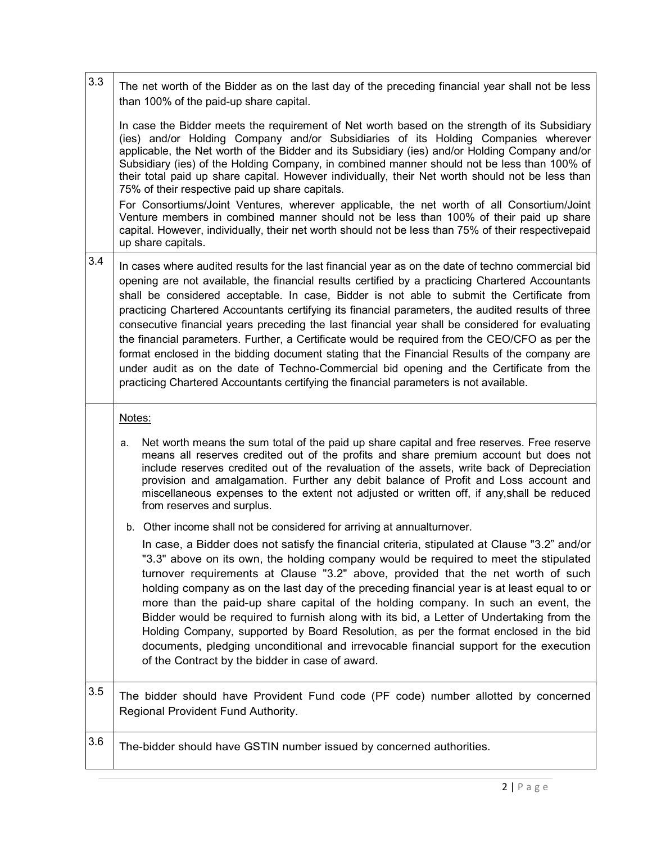| 3.3 | The net worth of the Bidder as on the last day of the preceding financial year shall not be less<br>than 100% of the paid-up share capital.                                                                                                                                                                                                                                                                                                                                                                                                                                                                                                                                                                                                                                                                                                                                                             |  |  |  |
|-----|---------------------------------------------------------------------------------------------------------------------------------------------------------------------------------------------------------------------------------------------------------------------------------------------------------------------------------------------------------------------------------------------------------------------------------------------------------------------------------------------------------------------------------------------------------------------------------------------------------------------------------------------------------------------------------------------------------------------------------------------------------------------------------------------------------------------------------------------------------------------------------------------------------|--|--|--|
|     | In case the Bidder meets the requirement of Net worth based on the strength of its Subsidiary<br>(ies) and/or Holding Company and/or Subsidiaries of its Holding Companies wherever<br>applicable, the Net worth of the Bidder and its Subsidiary (ies) and/or Holding Company and/or<br>Subsidiary (ies) of the Holding Company, in combined manner should not be less than 100% of<br>their total paid up share capital. However individually, their Net worth should not be less than<br>75% of their respective paid up share capitals.                                                                                                                                                                                                                                                                                                                                                             |  |  |  |
|     | For Consortiums/Joint Ventures, wherever applicable, the net worth of all Consortium/Joint<br>Venture members in combined manner should not be less than 100% of their paid up share<br>capital. However, individually, their net worth should not be less than 75% of their respectivepaid<br>up share capitals.                                                                                                                                                                                                                                                                                                                                                                                                                                                                                                                                                                                       |  |  |  |
| 3.4 | In cases where audited results for the last financial year as on the date of techno commercial bid<br>opening are not available, the financial results certified by a practicing Chartered Accountants<br>shall be considered acceptable. In case, Bidder is not able to submit the Certificate from<br>practicing Chartered Accountants certifying its financial parameters, the audited results of three<br>consecutive financial years preceding the last financial year shall be considered for evaluating<br>the financial parameters. Further, a Certificate would be required from the CEO/CFO as per the<br>format enclosed in the bidding document stating that the Financial Results of the company are<br>under audit as on the date of Techno-Commercial bid opening and the Certificate from the<br>practicing Chartered Accountants certifying the financial parameters is not available. |  |  |  |
|     | Notes:                                                                                                                                                                                                                                                                                                                                                                                                                                                                                                                                                                                                                                                                                                                                                                                                                                                                                                  |  |  |  |
|     | Net worth means the sum total of the paid up share capital and free reserves. Free reserve<br>а.<br>means all reserves credited out of the profits and share premium account but does not<br>include reserves credited out of the revaluation of the assets, write back of Depreciation<br>provision and amalgamation. Further any debit balance of Profit and Loss account and<br>miscellaneous expenses to the extent not adjusted or written off, if any, shall be reduced<br>from reserves and surplus.                                                                                                                                                                                                                                                                                                                                                                                             |  |  |  |
|     | b. Other income shall not be considered for arriving at annualturnover.                                                                                                                                                                                                                                                                                                                                                                                                                                                                                                                                                                                                                                                                                                                                                                                                                                 |  |  |  |
|     | In case, a Bidder does not satisfy the financial criteria, stipulated at Clause "3.2" and/or<br>"3.3" above on its own, the holding company would be required to meet the stipulated<br>turnover requirements at Clause "3.2" above, provided that the net worth of such<br>holding company as on the last day of the preceding financial year is at least equal to or<br>more than the paid-up share capital of the holding company. In such an event, the<br>Bidder would be required to furnish along with its bid, a Letter of Undertaking from the<br>Holding Company, supported by Board Resolution, as per the format enclosed in the bid<br>documents, pledging unconditional and irrevocable financial support for the execution<br>of the Contract by the bidder in case of award.                                                                                                            |  |  |  |
| 3.5 | The bidder should have Provident Fund code (PF code) number allotted by concerned<br>Regional Provident Fund Authority.                                                                                                                                                                                                                                                                                                                                                                                                                                                                                                                                                                                                                                                                                                                                                                                 |  |  |  |
| 3.6 | The-bidder should have GSTIN number issued by concerned authorities.                                                                                                                                                                                                                                                                                                                                                                                                                                                                                                                                                                                                                                                                                                                                                                                                                                    |  |  |  |
|     |                                                                                                                                                                                                                                                                                                                                                                                                                                                                                                                                                                                                                                                                                                                                                                                                                                                                                                         |  |  |  |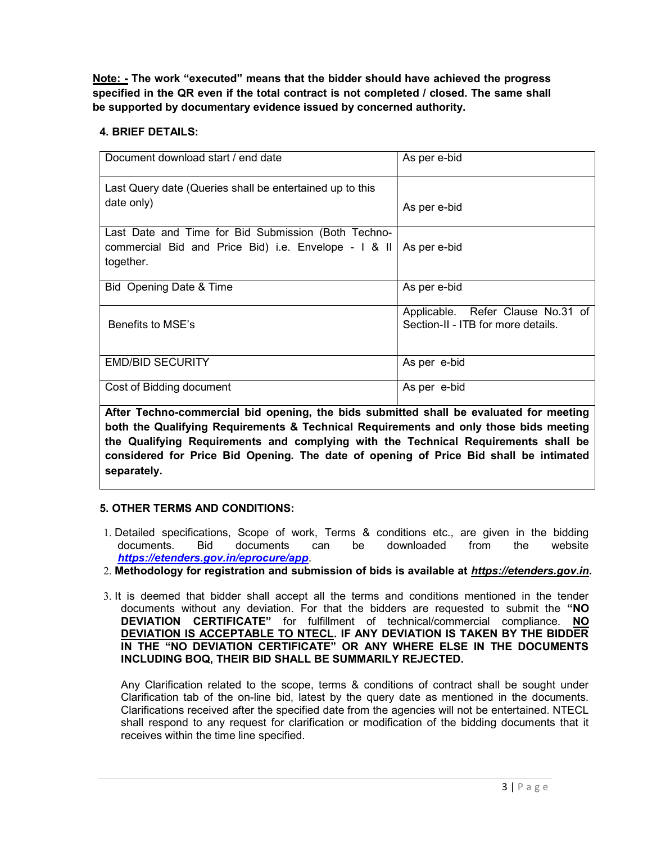Note: - The work "executed" means that the bidder should have achieved the progress specified in the QR even if the total contract is not completed / closed. The same shall be supported by documentary evidence issued by concerned authority.

# 4. BRIEF DETAILS:

| Document download start / end date                                                                                       | As per e-bid                                                            |
|--------------------------------------------------------------------------------------------------------------------------|-------------------------------------------------------------------------|
| Last Query date (Queries shall be entertained up to this<br>date only)                                                   | As per e-bid                                                            |
| Last Date and Time for Bid Submission (Both Techno-<br>commercial Bid and Price Bid) i.e. Envelope - I & II<br>together. | As per e-bid                                                            |
| Bid Opening Date & Time                                                                                                  | As per e-bid                                                            |
| Benefits to MSE's                                                                                                        | Applicable. Refer Clause No.31 of<br>Section-II - ITB for more details. |
| <b>EMD/BID SECURITY</b>                                                                                                  | As per e-bid                                                            |
| Cost of Bidding document                                                                                                 | As per e-bid                                                            |

After Techno-commercial bid opening, the bids submitted shall be evaluated for meeting both the Qualifying Requirements & Technical Requirements and only those bids meeting the Qualifying Requirements and complying with the Technical Requirements shall be considered for Price Bid Opening. The date of opening of Price Bid shall be intimated separately.

# 5. OTHER TERMS AND CONDITIONS:

- 1. Detailed specifications, Scope of work, Terms & conditions etc., are given in the bidding documents. Bid documents can be downloaded from the website https://etenders.gov.in/eprocure/app.
- 2. Methodology for registration and submission of bids is available at https://etenders.gov.in.
- 3. It is deemed that bidder shall accept all the terms and conditions mentioned in the tender documents without any deviation. For that the bidders are requested to submit the "NO DEVIATION CERTIFICATE" for fulfillment of technical/commercial compliance. NO DEVIATION IS ACCEPTABLE TO NTECL. IF ANY DEVIATION IS TAKEN BY THE BIDDER IN THE "NO DEVIATION CERTIFICATE" OR ANY WHERE ELSE IN THE DOCUMENTS INCLUDING BOQ, THEIR BID SHALL BE SUMMARILY REJECTED.

Any Clarification related to the scope, terms & conditions of contract shall be sought under Clarification tab of the on-line bid, latest by the query date as mentioned in the documents. Clarifications received after the specified date from the agencies will not be entertained. NTECL shall respond to any request for clarification or modification of the bidding documents that it receives within the time line specified.